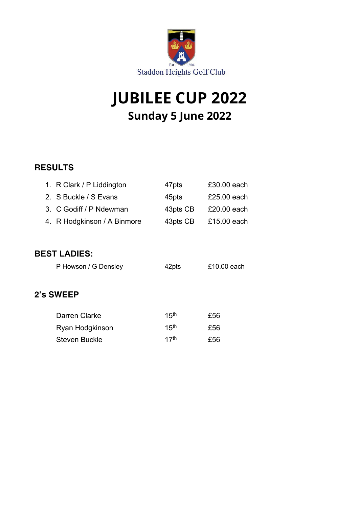

# **JUBILEE CUP 2022 Sunday 5 June 2022**

### **RESULTS**

|                     | 1. R Clark / P Liddington   | 47pts            | £30.00 each |  |  |
|---------------------|-----------------------------|------------------|-------------|--|--|
|                     | 2. S Buckle / S Evans       | 45pts            | £25.00 each |  |  |
|                     | 3. C Godiff / P Ndewman     | 43pts CB         | £20,00 each |  |  |
|                     | 4. R Hodgkinson / A Binmore | 43pts CB         | £15.00 each |  |  |
|                     |                             |                  |             |  |  |
| <b>BEST LADIES:</b> |                             |                  |             |  |  |
|                     | P Howson / G Densley        | 42pts            | £10.00 each |  |  |
|                     |                             |                  |             |  |  |
| 2's SWEEP           |                             |                  |             |  |  |
|                     |                             |                  |             |  |  |
|                     | Darren Clarke               | 15 <sup>th</sup> | £56         |  |  |
|                     | Ryan Hodgkinson             | 15 <sup>th</sup> | £56         |  |  |
|                     | <b>Steven Buckle</b>        | 17 <sup>th</sup> | £56         |  |  |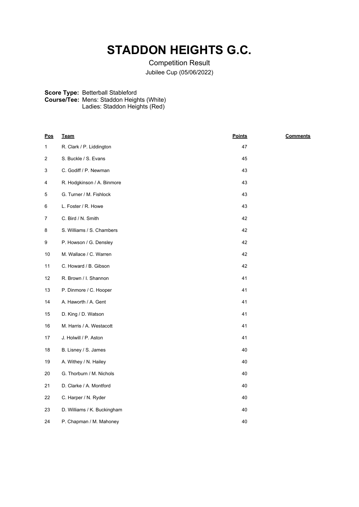## **STADDON HEIGHTS G.C.**

Competition Result Jubilee Cup (05/06/2022)

#### **Score Type: Course/Tee:** Betterball Stableford Mens: Staddon Heights (White)

Ladies: Staddon Heights (Red)

| <u>Pos</u>   | <u>Team</u>                 | <u>Points</u> | <b>Comments</b> |
|--------------|-----------------------------|---------------|-----------------|
| $\mathbf{1}$ | R. Clark / P. Liddington    | 47            |                 |
| 2            | S. Buckle / S. Evans        | 45            |                 |
| 3            | C. Godiff / P. Newman       | 43            |                 |
| 4            | R. Hodgkinson / A. Binmore  | 43            |                 |
| 5            | G. Turner / M. Fishlock     | 43            |                 |
| 6            | L. Foster / R. Howe         | 43            |                 |
| 7            | C. Bird / N. Smith          | 42            |                 |
| 8            | S. Williams / S. Chambers   | 42            |                 |
| 9            | P. Howson / G. Densley      | 42            |                 |
| 10           | M. Wallace / C. Warren      | 42            |                 |
| 11           | C. Howard / B. Gibson       | 42            |                 |
| 12           | R. Brown / I. Shannon       | 41            |                 |
| 13           | P. Dinmore / C. Hooper      | 41            |                 |
| 14           | A. Haworth / A. Gent        | 41            |                 |
| 15           | D. King / D. Watson         | 41            |                 |
| 16           | M. Harris / A. Westacott    | 41            |                 |
| 17           | J. Holwill / P. Aston       | 41            |                 |
| 18           | B. Lisney / S. James        | 40            |                 |
| 19           | A. Withey / N. Hailey       | 40            |                 |
| 20           | G. Thorburn / M. Nichols    | 40            |                 |
| 21           | D. Clarke / A. Montford     | 40            |                 |
| 22           | C. Harper / N. Ryder        | 40            |                 |
| 23           | D. Williams / K. Buckingham | 40            |                 |
| 24           | P. Chapman / M. Mahoney     | 40            |                 |